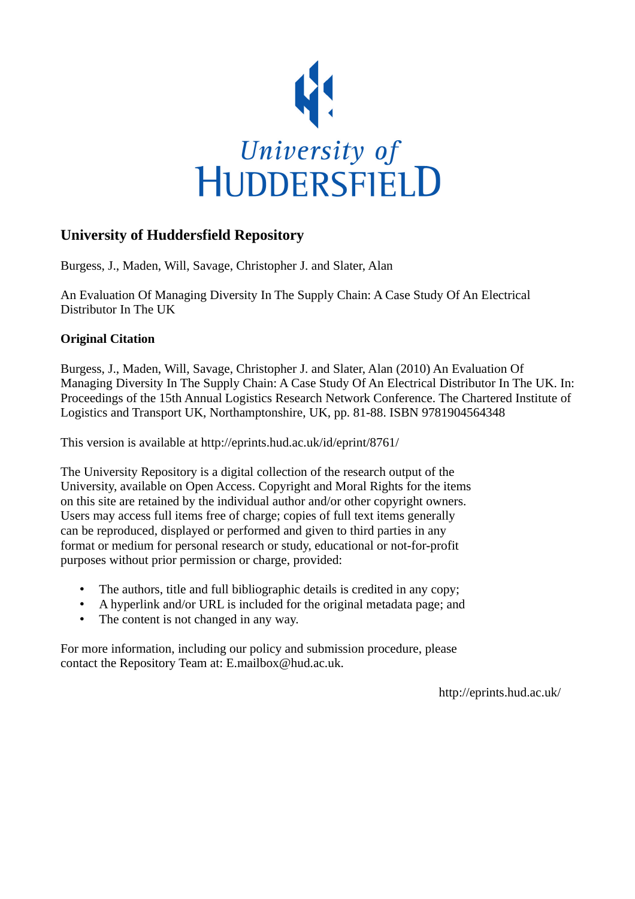

# **University of Huddersfield Repository**

Burgess, J., Maden, Will, Savage, Christopher J. and Slater, Alan

An Evaluation Of Managing Diversity In The Supply Chain: A Case Study Of An Electrical Distributor In The UK

# **Original Citation**

Burgess, J., Maden, Will, Savage, Christopher J. and Slater, Alan (2010) An Evaluation Of Managing Diversity In The Supply Chain: A Case Study Of An Electrical Distributor In The UK. In: Proceedings of the 15th Annual Logistics Research Network Conference. The Chartered Institute of Logistics and Transport UK, Northamptonshire, UK, pp. 81-88. ISBN 9781904564348

This version is available at http://eprints.hud.ac.uk/id/eprint/8761/

The University Repository is a digital collection of the research output of the University, available on Open Access. Copyright and Moral Rights for the items on this site are retained by the individual author and/or other copyright owners. Users may access full items free of charge; copies of full text items generally can be reproduced, displayed or performed and given to third parties in any format or medium for personal research or study, educational or not-for-profit purposes without prior permission or charge, provided:

- The authors, title and full bibliographic details is credited in any copy;
- A hyperlink and/or URL is included for the original metadata page; and
- The content is not changed in any way.

For more information, including our policy and submission procedure, please contact the Repository Team at: E.mailbox@hud.ac.uk.

http://eprints.hud.ac.uk/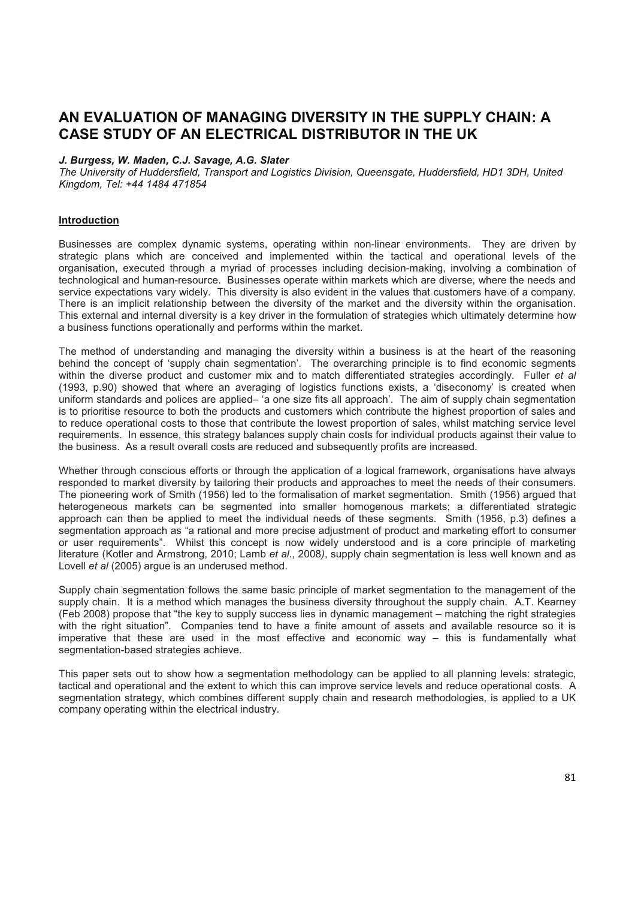# **AN EVALUATION OF MANAGING DIVERSITY IN THE SUPPLY CHAIN: A CASE STUDY OF AN ELECTRICAL DISTRIBUTOR IN THE UK**

### *J. Burgess, W. Maden, C.J. Savage, A.G. Slater*

*The University of Huddersfield, Transport and Logistics Division, Queensgate, Huddersfield, HD1 3DH, United Kingdom, Tel: +44 1484 471854*

#### **Introduction**

Businesses are complex dynamic systems, operating within non-linear environments. They are driven by strategic plans which are conceived and implemented within the tactical and operational levels of the organisation, executed through a myriad of processes including decision-making, involving a combination of technological and human-resource. Businesses operate within markets which are diverse, where the needs and service expectations vary widely. This diversity is also evident in the values that customers have of a company. There is an implicit relationship between the diversity of the market and the diversity within the organisation. This external and internal diversity is a key driver in the formulation of strategies which ultimately determine how a business functions operationally and performs within the market.

The method of understanding and managing the diversity within a business is at the heart of the reasoning behind the concept of 'supply chain segmentation'. The overarching principle is to find economic segments within the diverse product and customer mix and to match differentiated strategies accordingly. Fuller *et al* (1993, p.90) showed that where an averaging of logistics functions exists, a 'diseconomy' is created when uniform standards and polices are applied– 'a one size fits all approach'. The aim of supply chain segmentation is to prioritise resource to both the products and customers which contribute the highest proportion of sales and to reduce operational costs to those that contribute the lowest proportion of sales, whilst matching service level requirements. In essence, this strategy balances supply chain costs for individual products against their value to the business. As a result overall costs are reduced and subsequently profits are increased.

Whether through conscious efforts or through the application of a logical framework, organisations have always responded to market diversity by tailoring their products and approaches to meet the needs of their consumers. The pioneering work of Smith (1956) led to the formalisation of market segmentation. Smith (1956) argued that heterogeneous markets can be segmented into smaller homogenous markets; a differentiated strategic approach can then be applied to meet the individual needs of these segments. Smith (1956, p.3) defines a segmentation approach as "a rational and more precise adjustment of product and marketing effort to consumer or user requirements". Whilst this concept is now widely understood and is a core principle of marketing literature (Kotler and Armstrong, 2010; Lamb *et al*., 2008*)*, supply chain segmentation is less well known and as Lovell *et al* (2005) argue is an underused method.

Supply chain segmentation follows the same basic principle of market segmentation to the management of the supply chain. It is a method which manages the business diversity throughout the supply chain. A.T. Kearney (Feb 2008) propose that "the key to supply success lies in dynamic management – matching the right strategies with the right situation". Companies tend to have a finite amount of assets and available resource so it is imperative that these are used in the most effective and economic way – this is fundamentally what segmentation-based strategies achieve.

This paper sets out to show how a segmentation methodology can be applied to all planning levels: strategic, tactical and operational and the extent to which this can improve service levels and reduce operational costs. A segmentation strategy, which combines different supply chain and research methodologies, is applied to a UK company operating within the electrical industry.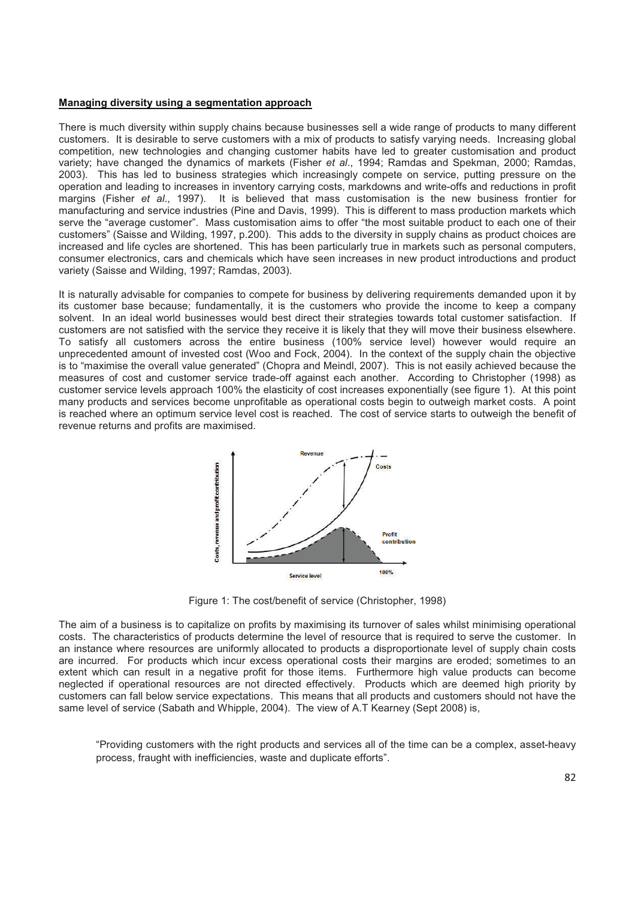#### **Managing diversity using a segmentation approach**

There is much diversity within supply chains because businesses sell a wide range of products to many different customers. It is desirable to serve customers with a mix of products to satisfy varying needs. Increasing global competition, new technologies and changing customer habits have led to greater customisation and product variety; have changed the dynamics of markets (Fisher *et al*., 1994; Ramdas and Spekman, 2000; Ramdas, 2003). This has led to business strategies which increasingly compete on service, putting pressure on the operation and leading to increases in inventory carrying costs, markdowns and write-offs and reductions in profit margins (Fisher *et al*., 1997). It is believed that mass customisation is the new business frontier for manufacturing and service industries (Pine and Davis, 1999). This is different to mass production markets which serve the "average customer". Mass customisation aims to offer "the most suitable product to each one of their customers" (Saisse and Wilding, 1997, p.200). This adds to the diversity in supply chains as product choices are increased and life cycles are shortened. This has been particularly true in markets such as personal computers, consumer electronics, cars and chemicals which have seen increases in new product introductions and product variety (Saisse and Wilding, 1997; Ramdas, 2003).

It is naturally advisable for companies to compete for business by delivering requirements demanded upon it by its customer base because; fundamentally, it is the customers who provide the income to keep a company solvent. In an ideal world businesses would best direct their strategies towards total customer satisfaction. If customers are not satisfied with the service they receive it is likely that they will move their business elsewhere. To satisfy all customers across the entire business (100% service level) however would require an unprecedented amount of invested cost (Woo and Fock, 2004). In the context of the supply chain the objective is to "maximise the overall value generated" (Chopra and Meindl, 2007). This is not easily achieved because the measures of cost and customer service trade-off against each another. According to Christopher (1998) as customer service levels approach 100% the elasticity of cost increases exponentially (see figure 1). At this point many products and services become unprofitable as operational costs begin to outweigh market costs. A point is reached where an optimum service level cost is reached. The cost of service starts to outweigh the benefit of revenue returns and profits are maximised.



Figure 1: The cost/benefit of service (Christopher, 1998)

The aim of a business is to capitalize on profits by maximising its turnover of sales whilst minimising operational costs. The characteristics of products determine the level of resource that is required to serve the customer. In an instance where resources are uniformly allocated to products a disproportionate level of supply chain costs are incurred. For products which incur excess operational costs their margins are eroded; sometimes to an extent which can result in a negative profit for those items. Furthermore high value products can become neglected if operational resources are not directed effectively. Products which are deemed high priority by customers can fall below service expectations. This means that all products and customers should not have the same level of service (Sabath and Whipple, 2004). The view of A.T Kearney (Sept 2008) is,

"Providing customers with the right products and services all of the time can be a complex, asset-heavy process, fraught with inefficiencies, waste and duplicate efforts".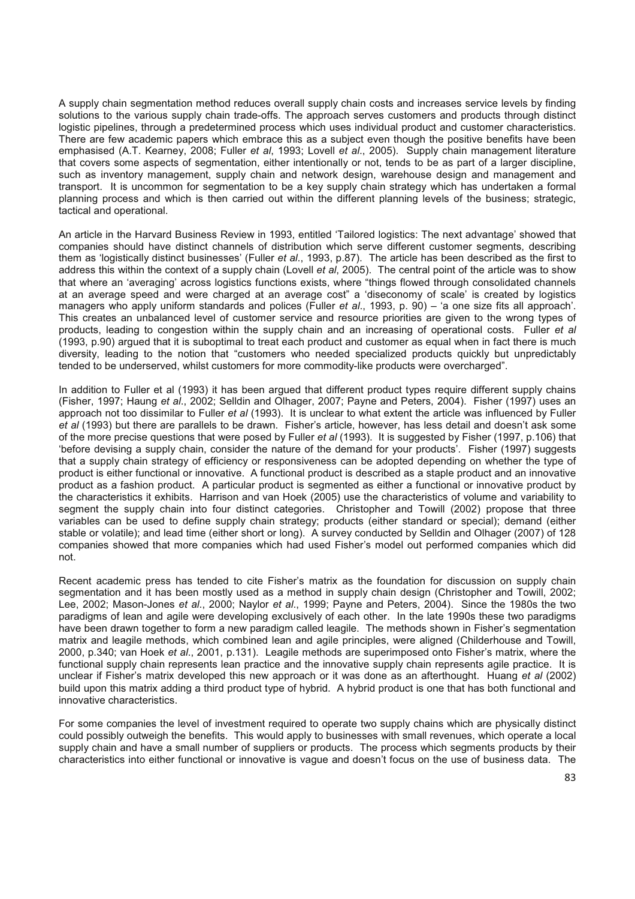A supply chain segmentation method reduces overall supply chain costs and increases service levels by finding solutions to the various supply chain trade-offs. The approach serves customers and products through distinct logistic pipelines, through a predetermined process which uses individual product and customer characteristics. There are few academic papers which embrace this as a subject even though the positive benefits have been emphasised (A.T. Kearney, 2008; Fuller *et al*, 1993; Lovell *et al*., 2005). Supply chain management literature that covers some aspects of segmentation, either intentionally or not, tends to be as part of a larger discipline, such as inventory management, supply chain and network design, warehouse design and management and transport. It is uncommon for segmentation to be a key supply chain strategy which has undertaken a formal planning process and which is then carried out within the different planning levels of the business; strategic, tactical and operational.

An article in the Harvard Business Review in 1993, entitled 'Tailored logistics: The next advantage' showed that companies should have distinct channels of distribution which serve different customer segments, describing them as 'logistically distinct businesses' (Fuller *et al*., 1993, p.87). The article has been described as the first to address this within the context of a supply chain (Lovell *et al*, 2005). The central point of the article was to show that where an 'averaging' across logistics functions exists, where "things flowed through consolidated channels at an average speed and were charged at an average cost" a 'diseconomy of scale' is created by logistics managers who apply uniform standards and polices (Fuller *et al*., 1993, p. 90) – 'a one size fits all approach'. This creates an unbalanced level of customer service and resource priorities are given to the wrong types of products, leading to congestion within the supply chain and an increasing of operational costs. Fuller *et al* (1993, p.90) argued that it is suboptimal to treat each product and customer as equal when in fact there is much diversity, leading to the notion that "customers who needed specialized products quickly but unpredictably tended to be underserved, whilst customers for more commodity-like products were overcharged".

In addition to Fuller et al (1993) it has been argued that different product types require different supply chains (Fisher, 1997; Haung *et al*., 2002; Selldin and Olhager, 2007; Payne and Peters, 2004). Fisher (1997) uses an approach not too dissimilar to Fuller *et al* (1993). It is unclear to what extent the article was influenced by Fuller *et al* (1993) but there are parallels to be drawn. Fisher's article, however, has less detail and doesn't ask some of the more precise questions that were posed by Fuller *et al* (1993). It is suggested by Fisher (1997, p.106) that 'before devising a supply chain, consider the nature of the demand for your products'. Fisher (1997) suggests that a supply chain strategy of efficiency or responsiveness can be adopted depending on whether the type of product is either functional or innovative. A functional product is described as a staple product and an innovative product as a fashion product. A particular product is segmented as either a functional or innovative product by the characteristics it exhibits. Harrison and van Hoek (2005) use the characteristics of volume and variability to segment the supply chain into four distinct categories. Christopher and Towill (2002) propose that three variables can be used to define supply chain strategy; products (either standard or special); demand (either stable or volatile); and lead time (either short or long). A survey conducted by Selldin and Olhager (2007) of 128 companies showed that more companies which had used Fisher's model out performed companies which did not.

Recent academic press has tended to cite Fisher's matrix as the foundation for discussion on supply chain segmentation and it has been mostly used as a method in supply chain design (Christopher and Towill, 2002; Lee, 2002; Mason-Jones *et al*., 2000; Naylor *et al*., 1999; Payne and Peters, 2004). Since the 1980s the two paradigms of lean and agile were developing exclusively of each other. In the late 1990s these two paradigms have been drawn together to form a new paradigm called leagile. The methods shown in Fisher's segmentation matrix and leagile methods, which combined lean and agile principles, were aligned (Childerhouse and Towill, 2000, p.340; van Hoek *et al*., 2001, p.131). Leagile methods are superimposed onto Fisher's matrix, where the functional supply chain represents lean practice and the innovative supply chain represents agile practice. It is unclear if Fisher's matrix developed this new approach or it was done as an afterthought. Huang *et al* (2002) build upon this matrix adding a third product type of hybrid. A hybrid product is one that has both functional and innovative characteristics.

For some companies the level of investment required to operate two supply chains which are physically distinct could possibly outweigh the benefits. This would apply to businesses with small revenues, which operate a local supply chain and have a small number of suppliers or products. The process which segments products by their characteristics into either functional or innovative is vague and doesn't focus on the use of business data. The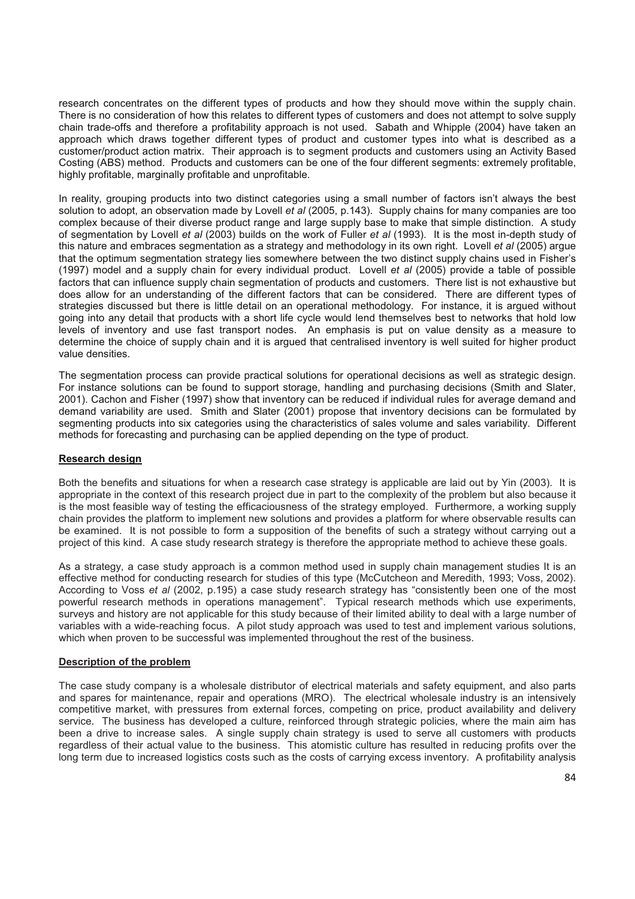research concentrates on the different types of products and how they should move within the supply chain. There is no consideration of how this relates to different types of customers and does not attempt to solve supply chain trade-offs and therefore a profitability approach is not used. Sabath and Whipple (2004) have taken an approach which draws together different types of product and customer types into what is described as a customer/product action matrix. Their approach is to segment products and customers using an Activity Based Costing (ABS) method. Products and customers can be one of the four different segments: extremely profitable, highly profitable, marginally profitable and unprofitable.

In reality, grouping products into two distinct categories using a small number of factors isn't always the best solution to adopt, an observation made by Lovell *et al* (2005, p.143). Supply chains for many companies are too complex because of their diverse product range and large supply base to make that simple distinction. A study of segmentation by Lovell *et al* (2003) builds on the work of Fuller *et al* (1993). It is the most in-depth study of this nature and embraces segmentation as a strategy and methodology in its own right. Lovell *et al* (2005) argue that the optimum segmentation strategy lies somewhere between the two distinct supply chains used in Fisher's (1997) model and a supply chain for every individual product. Lovell *et al* (2005) provide a table of possible factors that can influence supply chain segmentation of products and customers. There list is not exhaustive but does allow for an understanding of the different factors that can be considered. There are different types of strategies discussed but there is little detail on an operational methodology. For instance, it is argued without going into any detail that products with a short life cycle would lend themselves best to networks that hold low levels of inventory and use fast transport nodes. An emphasis is put on value density as a measure to determine the choice of supply chain and it is argued that centralised inventory is well suited for higher product value densities.

The segmentation process can provide practical solutions for operational decisions as well as strategic design. For instance solutions can be found to support storage, handling and purchasing decisions (Smith and Slater, 2001). Cachon and Fisher (1997) show that inventory can be reduced if individual rules for average demand and demand variability are used. Smith and Slater (2001) propose that inventory decisions can be formulated by segmenting products into six categories using the characteristics of sales volume and sales variability. Different methods for forecasting and purchasing can be applied depending on the type of product.

#### **Research design**

Both the benefits and situations for when a research case strategy is applicable are laid out by Yin (2003). It is appropriate in the context of this research project due in part to the complexity of the problem but also because it is the most feasible way of testing the efficaciousness of the strategy employed. Furthermore, a working supply chain provides the platform to implement new solutions and provides a platform for where observable results can be examined. It is not possible to form a supposition of the benefits of such a strategy without carrying out a project of this kind. A case study research strategy is therefore the appropriate method to achieve these goals.

As a strategy, a case study approach is a common method used in supply chain management studies It is an effective method for conducting research for studies of this type (McCutcheon and Meredith, 1993; Voss, 2002). According to Voss *et al* (2002, p.195) a case study research strategy has "consistently been one of the most powerful research methods in operations management". Typical research methods which use experiments, surveys and history are not applicable for this study because of their limited ability to deal with a large number of variables with a wide-reaching focus. A pilot study approach was used to test and implement various solutions, which when proven to be successful was implemented throughout the rest of the business.

#### **Description of the problem**

The case study company is a wholesale distributor of electrical materials and safety equipment, and also parts and spares for maintenance, repair and operations (MRO). The electrical wholesale industry is an intensively competitive market, with pressures from external forces, competing on price, product availability and delivery service. The business has developed a culture, reinforced through strategic policies, where the main aim has been a drive to increase sales. A single supply chain strategy is used to serve all customers with products regardless of their actual value to the business. This atomistic culture has resulted in reducing profits over the long term due to increased logistics costs such as the costs of carrying excess inventory. A profitability analysis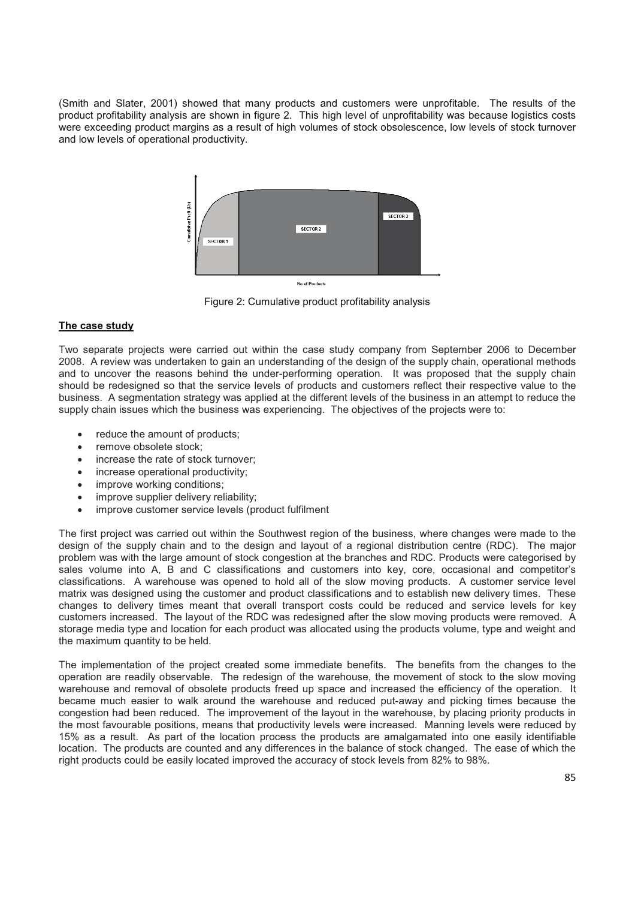(Smith and Slater, 2001) showed that many products and customers were unprofitable. The results of the product profitability analysis are shown in figure 2. This high level of unprofitability was because logistics costs were exceeding product margins as a result of high volumes of stock obsolescence, low levels of stock turnover and low levels of operational productivity.



Figure 2: Cumulative product profitability analysis

## **The case study**

Two separate projects were carried out within the case study company from September 2006 to December 2008. A review was undertaken to gain an understanding of the design of the supply chain, operational methods and to uncover the reasons behind the under-performing operation. It was proposed that the supply chain should be redesigned so that the service levels of products and customers reflect their respective value to the business. A segmentation strategy was applied at the different levels of the business in an attempt to reduce the supply chain issues which the business was experiencing. The objectives of the projects were to:

- reduce the amount of products;
- remove obsolete stock;
- increase the rate of stock turnover:
- increase operational productivity;
- improve working conditions;
- improve supplier delivery reliability;
- improve customer service levels (product fulfilment

The first project was carried out within the Southwest region of the business, where changes were made to the design of the supply chain and to the design and layout of a regional distribution centre (RDC). The major problem was with the large amount of stock congestion at the branches and RDC. Products were categorised by sales volume into A, B and C classifications and customers into key, core, occasional and competitor's classifications. A warehouse was opened to hold all of the slow moving products. A customer service level matrix was designed using the customer and product classifications and to establish new delivery times. These changes to delivery times meant that overall transport costs could be reduced and service levels for key customers increased. The layout of the RDC was redesigned after the slow moving products were removed. A storage media type and location for each product was allocated using the products volume, type and weight and the maximum quantity to be held.

The implementation of the project created some immediate benefits. The benefits from the changes to the operation are readily observable. The redesign of the warehouse, the movement of stock to the slow moving warehouse and removal of obsolete products freed up space and increased the efficiency of the operation. It became much easier to walk around the warehouse and reduced put-away and picking times because the congestion had been reduced. The improvement of the layout in the warehouse, by placing priority products in the most favourable positions, means that productivity levels were increased. Manning levels were reduced by 15% as a result. As part of the location process the products are amalgamated into one easily identifiable location. The products are counted and any differences in the balance of stock changed. The ease of which the right products could be easily located improved the accuracy of stock levels from 82% to 98%.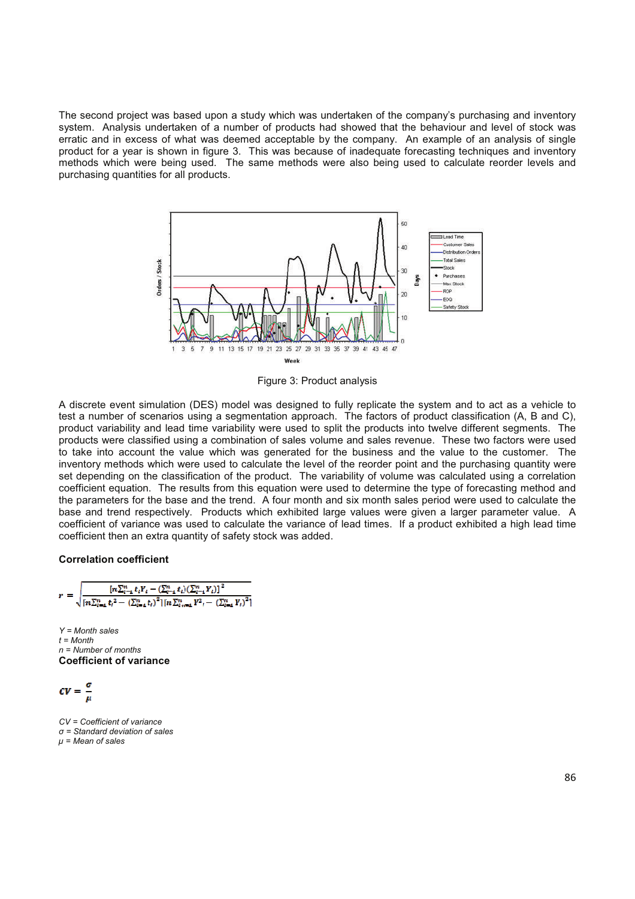The second project was based upon a study which was undertaken of the company's purchasing and inventory system. Analysis undertaken of a number of products had showed that the behaviour and level of stock was erratic and in excess of what was deemed acceptable by the company. An example of an analysis of single product for a year is shown in figure 3. This was because of inadequate forecasting techniques and inventory methods which were being used. The same methods were also being used to calculate reorder levels and purchasing quantities for all products.



Figure 3: Product analysis

A discrete event simulation (DES) model was designed to fully replicate the system and to act as a vehicle to test a number of scenarios using a segmentation approach. The factors of product classification (A, B and C), product variability and lead time variability were used to split the products into twelve different segments. The products were classified using a combination of sales volume and sales revenue. These two factors were used to take into account the value which was generated for the business and the value to the customer. The inventory methods which were used to calculate the level of the reorder point and the purchasing quantity were set depending on the classification of the product. The variability of volume was calculated using a correlation coefficient equation. The results from this equation were used to determine the type of forecasting method and the parameters for the base and the trend. A four month and six month sales period were used to calculate the base and trend respectively. Products which exhibited large values were given a larger parameter value. A coefficient of variance was used to calculate the variance of lead times. If a product exhibited a high lead time coefficient then an extra quantity of safety stock was added.

#### **Correlation coefficient**

$$
r = \sqrt{\frac{[n\sum_{i=1}^{n} t_i Y_i - (\sum_{i=1}^{n} t_i) (\sum_{i=1}^{n} Y_i)]^2}{[n\sum_{i=1}^{n} t_i^2 - (\sum_{i=1}^{n} t_i)^2] [n\sum_{i=1}^{n} Y_i^2 - (\sum_{i=1}^{n} Y_i)^2]}}
$$

*Y = Month sales t = Month n = Number of months* **Coefficient of variance**

$$
\mathbf{CV} = \frac{\sigma}{\mu}
$$

*CV = Coefficient of variance = Standard deviation of sales µ = Mean of sales*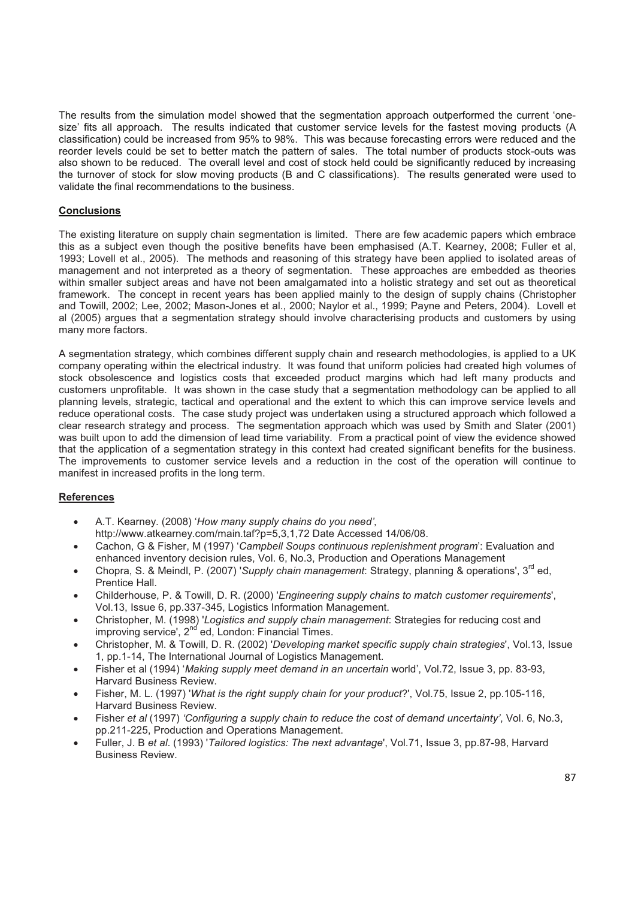The results from the simulation model showed that the segmentation approach outperformed the current 'onesize' fits all approach. The results indicated that customer service levels for the fastest moving products (A classification) could be increased from 95% to 98%. This was because forecasting errors were reduced and the reorder levels could be set to better match the pattern of sales. The total number of products stock-outs was also shown to be reduced. The overall level and cost of stock held could be significantly reduced by increasing the turnover of stock for slow moving products (B and C classifications). The results generated were used to validate the final recommendations to the business.

#### **Conclusions**

The existing literature on supply chain segmentation is limited. There are few academic papers which embrace this as a subject even though the positive benefits have been emphasised (A.T. Kearney, 2008; Fuller et al, 1993; Lovell et al., 2005). The methods and reasoning of this strategy have been applied to isolated areas of management and not interpreted as a theory of segmentation. These approaches are embedded as theories within smaller subject areas and have not been amalgamated into a holistic strategy and set out as theoretical framework. The concept in recent years has been applied mainly to the design of supply chains (Christopher and Towill, 2002; Lee, 2002; Mason-Jones et al., 2000; Naylor et al., 1999; Payne and Peters, 2004). Lovell et al (2005) argues that a segmentation strategy should involve characterising products and customers by using many more factors.

A segmentation strategy, which combines different supply chain and research methodologies, is applied to a UK company operating within the electrical industry. It was found that uniform policies had created high volumes of stock obsolescence and logistics costs that exceeded product margins which had left many products and customers unprofitable. It was shown in the case study that a segmentation methodology can be applied to all planning levels, strategic, tactical and operational and the extent to which this can improve service levels and reduce operational costs. The case study project was undertaken using a structured approach which followed a clear research strategy and process. The segmentation approach which was used by Smith and Slater (2001) was built upon to add the dimension of lead time variability. From a practical point of view the evidence showed that the application of a segmentation strategy in this context had created significant benefits for the business. The improvements to customer service levels and a reduction in the cost of the operation will continue to manifest in increased profits in the long term.

## **References**

- A.T. Kearney. (2008) '*How many supply chains do you need'*, http://www.atkearney.com/main.taf?p=5,3,1,72 Date Accessed 14/06/08.
- Cachon, G & Fisher, M (1997) '*Campbell Soups continuous replenishment program*': Evaluation and enhanced inventory decision rules, Vol. 6, No.3, Production and Operations Management
- Chopra, S. & Meindl, P. (2007) '*Supply chain management*: Strategy, planning & operations', 3rd ed, Prentice Hall.
- Childerhouse, P. & Towill, D. R. (2000) '*Engineering supply chains to match customer requirements*', Vol.13, Issue 6, pp.337-345, Logistics Information Management.
- Christopher, M. (1998) '*Logistics and supply chain management*: Strategies for reducing cost and improving service', 2<sup>nd</sup> ed, London: Financial Times.
- Christopher, M. & Towill, D. R. (2002) '*Developing market specific supply chain strategies*', Vol.13, Issue 1, pp.1-14, The International Journal of Logistics Management.
- Fisher et al (1994) '*Making supply meet demand in an uncertain* world', Vol.72, Issue 3, pp. 83-93, Harvard Business Review.
- Fisher, M. L. (1997) '*What is the right supply chain for your product*?', Vol.75, Issue 2, pp.105-116, Harvard Business Review.
- Fisher *et al* (1997) *'Configuring a supply chain to reduce the cost of demand uncertainty'*, Vol. 6, No.3, pp.211-225, Production and Operations Management.
- Fuller, J. B *et al*. (1993) '*Tailored logistics: The next advantage*', Vol.71, Issue 3, pp.87-98, Harvard Business Review.